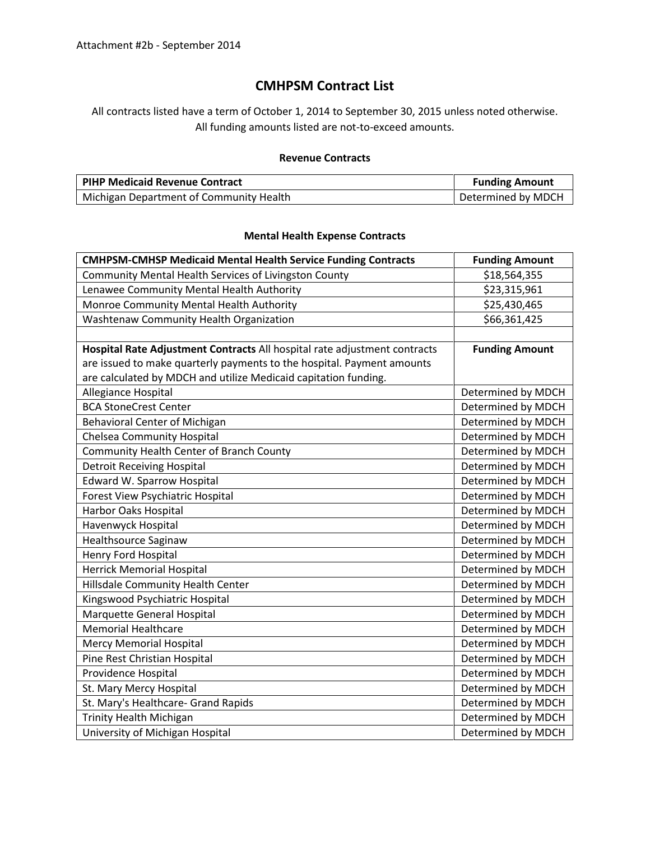## **CMHPSM Contract List**

All contracts listed have a term of October 1, 2014 to September 30, 2015 unless noted otherwise. All funding amounts listed are not-to-exceed amounts.

## **Revenue Contracts**

| <b>PIHP Medicaid Revenue Contract</b>   | <b>Funding Amount</b> |
|-----------------------------------------|-----------------------|
| Michigan Department of Community Health | Determined by MDCH    |

## **Mental Health Expense Contracts**

| <b>CMHPSM-CMHSP Medicaid Mental Health Service Funding Contracts</b>      | <b>Funding Amount</b> |
|---------------------------------------------------------------------------|-----------------------|
| Community Mental Health Services of Livingston County                     | \$18,564,355          |
| Lenawee Community Mental Health Authority                                 | \$23,315,961          |
| Monroe Community Mental Health Authority                                  | \$25,430,465          |
| Washtenaw Community Health Organization                                   | \$66,361,425          |
|                                                                           |                       |
| Hospital Rate Adjustment Contracts All hospital rate adjustment contracts | <b>Funding Amount</b> |
| are issued to make quarterly payments to the hospital. Payment amounts    |                       |
| are calculated by MDCH and utilize Medicaid capitation funding.           |                       |
| Allegiance Hospital                                                       | Determined by MDCH    |
| <b>BCA StoneCrest Center</b>                                              | Determined by MDCH    |
| Behavioral Center of Michigan                                             | Determined by MDCH    |
| <b>Chelsea Community Hospital</b>                                         | Determined by MDCH    |
| Community Health Center of Branch County                                  | Determined by MDCH    |
| <b>Detroit Receiving Hospital</b>                                         | Determined by MDCH    |
| <b>Edward W. Sparrow Hospital</b>                                         | Determined by MDCH    |
| Forest View Psychiatric Hospital                                          | Determined by MDCH    |
| Harbor Oaks Hospital                                                      | Determined by MDCH    |
| Havenwyck Hospital                                                        | Determined by MDCH    |
| <b>Healthsource Saginaw</b>                                               | Determined by MDCH    |
| Henry Ford Hospital                                                       | Determined by MDCH    |
| <b>Herrick Memorial Hospital</b>                                          | Determined by MDCH    |
| Hillsdale Community Health Center                                         | Determined by MDCH    |
| Kingswood Psychiatric Hospital                                            | Determined by MDCH    |
| Marquette General Hospital                                                | Determined by MDCH    |
| <b>Memorial Healthcare</b>                                                | Determined by MDCH    |
| <b>Mercy Memorial Hospital</b>                                            | Determined by MDCH    |
| Pine Rest Christian Hospital                                              | Determined by MDCH    |
| Providence Hospital                                                       | Determined by MDCH    |
| St. Mary Mercy Hospital                                                   | Determined by MDCH    |
| St. Mary's Healthcare- Grand Rapids                                       | Determined by MDCH    |
| <b>Trinity Health Michigan</b>                                            | Determined by MDCH    |
| University of Michigan Hospital                                           | Determined by MDCH    |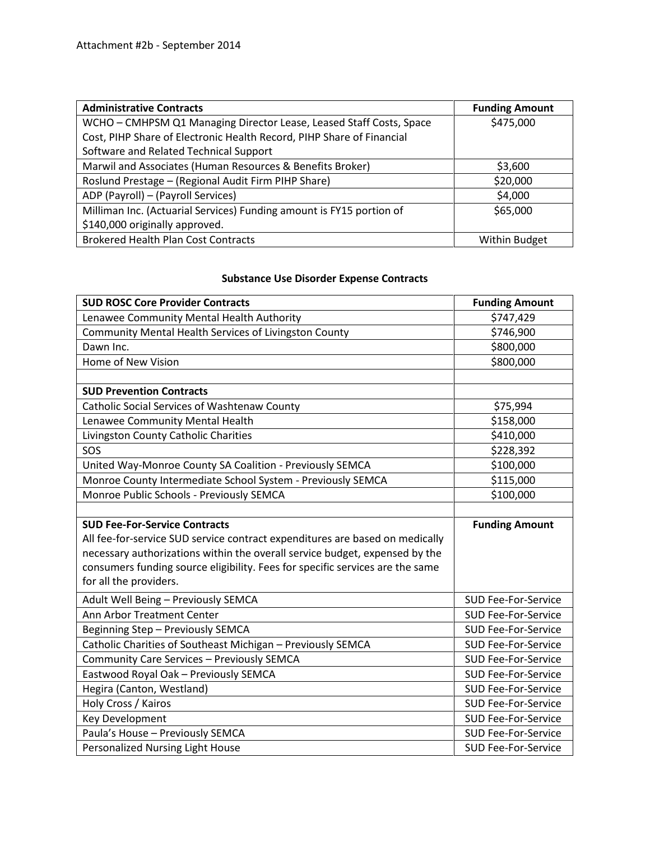| <b>Administrative Contracts</b>                                       | <b>Funding Amount</b> |
|-----------------------------------------------------------------------|-----------------------|
| WCHO - CMHPSM Q1 Managing Director Lease, Leased Staff Costs, Space   | \$475,000             |
| Cost, PIHP Share of Electronic Health Record, PIHP Share of Financial |                       |
| Software and Related Technical Support                                |                       |
| Marwil and Associates (Human Resources & Benefits Broker)             | \$3,600               |
| Roslund Prestage - (Regional Audit Firm PIHP Share)                   | \$20,000              |
| ADP (Payroll) - (Payroll Services)                                    | \$4,000               |
| Milliman Inc. (Actuarial Services) Funding amount is FY15 portion of  | \$65,000              |
| \$140,000 originally approved.                                        |                       |
| <b>Brokered Health Plan Cost Contracts</b>                            | <b>Within Budget</b>  |

## **Substance Use Disorder Expense Contracts**

| <b>SUD ROSC Core Provider Contracts</b>                                       | <b>Funding Amount</b>      |
|-------------------------------------------------------------------------------|----------------------------|
| Lenawee Community Mental Health Authority                                     | \$747,429                  |
| Community Mental Health Services of Livingston County                         | \$746,900                  |
| Dawn Inc.                                                                     | \$800,000                  |
| Home of New Vision                                                            | \$800,000                  |
|                                                                               |                            |
| <b>SUD Prevention Contracts</b>                                               |                            |
| Catholic Social Services of Washtenaw County                                  | \$75,994                   |
| Lenawee Community Mental Health                                               | \$158,000                  |
| Livingston County Catholic Charities                                          | \$410,000                  |
| SOS                                                                           | \$228,392                  |
| United Way-Monroe County SA Coalition - Previously SEMCA                      | \$100,000                  |
| Monroe County Intermediate School System - Previously SEMCA                   | \$115,000                  |
| Monroe Public Schools - Previously SEMCA                                      | \$100,000                  |
|                                                                               |                            |
| <b>SUD Fee-For-Service Contracts</b>                                          | <b>Funding Amount</b>      |
| All fee-for-service SUD service contract expenditures are based on medically  |                            |
| necessary authorizations within the overall service budget, expensed by the   |                            |
| consumers funding source eligibility. Fees for specific services are the same |                            |
| for all the providers.                                                        |                            |
| Adult Well Being - Previously SEMCA                                           | <b>SUD Fee-For-Service</b> |
| <b>Ann Arbor Treatment Center</b>                                             | <b>SUD Fee-For-Service</b> |
| Beginning Step - Previously SEMCA                                             | <b>SUD Fee-For-Service</b> |
| Catholic Charities of Southeast Michigan - Previously SEMCA                   | <b>SUD Fee-For-Service</b> |
| Community Care Services - Previously SEMCA                                    | <b>SUD Fee-For-Service</b> |
| Eastwood Royal Oak - Previously SEMCA                                         | <b>SUD Fee-For-Service</b> |
| Hegira (Canton, Westland)                                                     | <b>SUD Fee-For-Service</b> |
| Holy Cross / Kairos                                                           | <b>SUD Fee-For-Service</b> |
| Key Development                                                               | <b>SUD Fee-For-Service</b> |
| Paula's House - Previously SEMCA                                              | <b>SUD Fee-For-Service</b> |
| Personalized Nursing Light House                                              | <b>SUD Fee-For-Service</b> |